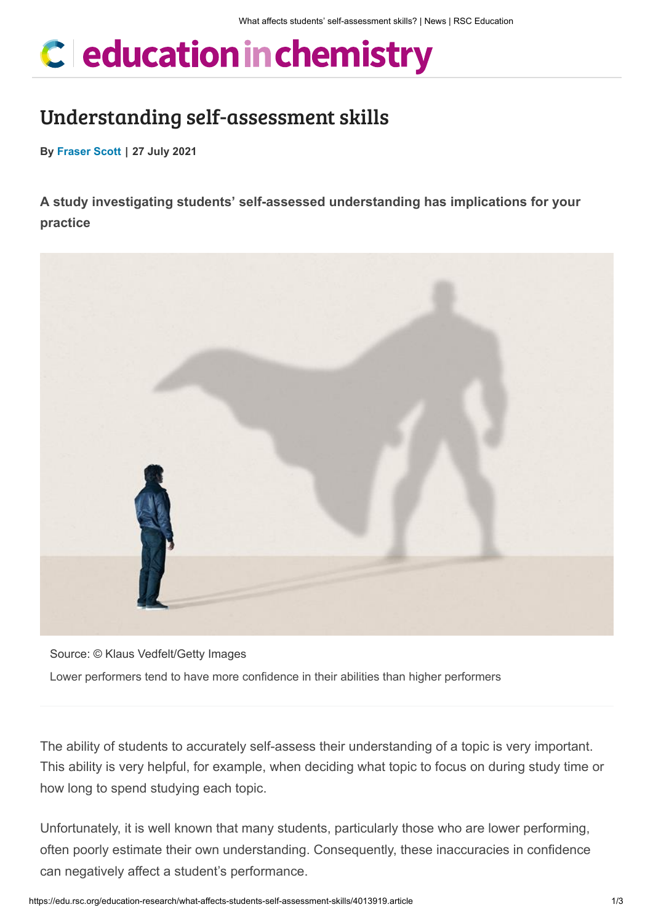# C education in chemistry

# Understanding self-assessment skills

**By [Fraser Scott](https://edu.rsc.org/fraser-scott/4842.bio) | 27 July 2021**

**A study investigating students' self-assessed understanding has implications for your practice**



Source: © Klaus Vedfelt/Getty Images Lower performers tend to have more confidence in their abilities than higher performers

The ability of students to accurately self-assess their understanding of a topic is very important. This ability is very helpful, for example, when deciding what topic to focus on during study time or how long to spend studying each topic.

Unfortunately, it is well known that many students, particularly those who are lower performing, often poorly estimate their own understanding. Consequently, these inaccuracies in confidence can negatively affect a student's performance.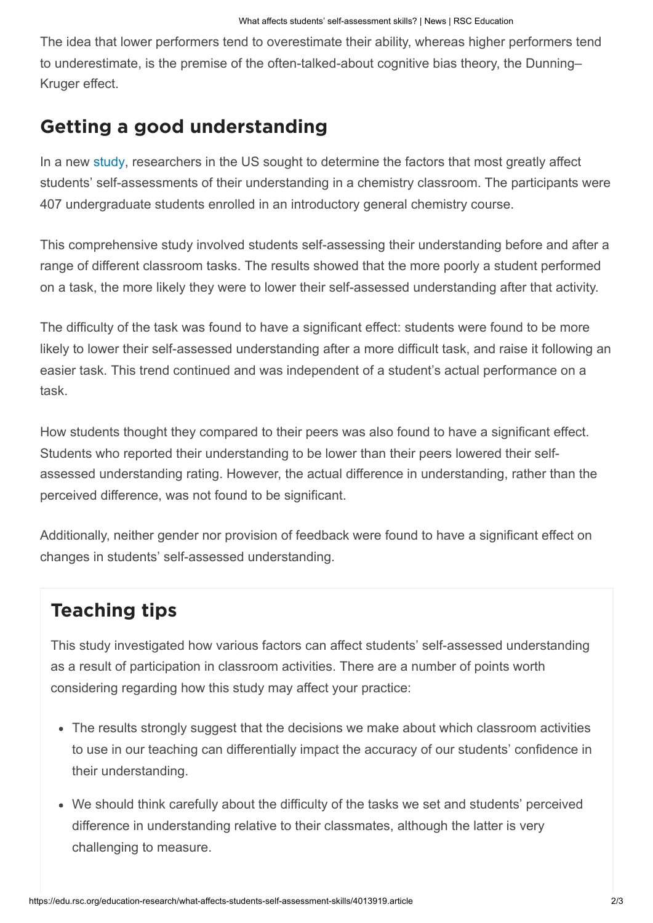The idea that lower performers tend to overestimate their ability, whereas higher performers tend to underestimate, is the premise of the often-talked-about cognitive bias theory, the Dunning– Kruger effect.

### Getting a good understanding

In a new [study,](https://pubs.rsc.org/en/content/articlelanding/2021/rp/d0rp00255k#!divAbstract) researchers in the US sought to determine the factors that most greatly affect students' self-assessments of their understanding in a chemistry classroom. The participants were 407 undergraduate students enrolled in an introductory general chemistry course.

This comprehensive study involved students self-assessing their understanding before and after a range of different classroom tasks. The results showed that the more poorly a student performed on a task, the more likely they were to lower their self-assessed understanding after that activity.

The difficulty of the task was found to have a significant effect: students were found to be more likely to lower their self-assessed understanding after a more difficult task, and raise it following an easier task. This trend continued and was independent of a student's actual performance on a task.

How students thought they compared to their peers was also found to have a significant effect. Students who reported their understanding to be lower than their peers lowered their selfassessed understanding rating. However, the actual difference in understanding, rather than the perceived difference, was not found to be significant.

Additionally, neither gender nor provision of feedback were found to have a significant effect on changes in students' self-assessed understanding.

# Teaching tips

This study investigated how various factors can affect students' self-assessed understanding as a result of participation in classroom activities. There are a number of points worth considering regarding how this study may affect your practice:

- The results strongly suggest that the decisions we make about which classroom activities to use in our teaching can differentially impact the accuracy of our students' confidence in their understanding.
- We should think carefully about the difficulty of the tasks we set and students' perceived difference in understanding relative to their classmates, although the latter is very challenging to measure.